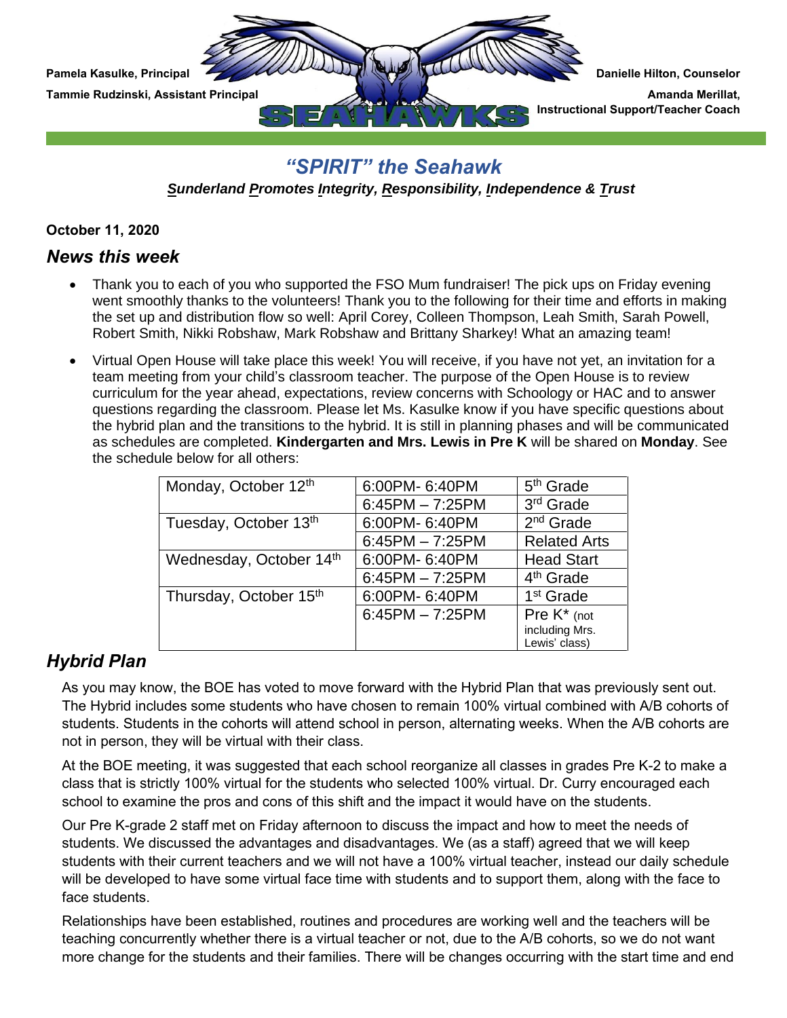

### *"SPIRIT" the Seahawk*

*Sunderland Promotes Integrity, Responsibility, Independence & Trust*

#### **October 11, 2020**

#### *News this week*

- Thank you to each of you who supported the FSO Mum fundraiser! The pick ups on Friday evening went smoothly thanks to the volunteers! Thank you to the following for their time and efforts in making the set up and distribution flow so well: April Corey, Colleen Thompson, Leah Smith, Sarah Powell, Robert Smith, Nikki Robshaw, Mark Robshaw and Brittany Sharkey! What an amazing team!
- Virtual Open House will take place this week! You will receive, if you have not yet, an invitation for a team meeting from your child's classroom teacher. The purpose of the Open House is to review curriculum for the year ahead, expectations, review concerns with Schoology or HAC and to answer questions regarding the classroom. Please let Ms. Kasulke know if you have specific questions about the hybrid plan and the transitions to the hybrid. It is still in planning phases and will be communicated as schedules are completed. **Kindergarten and Mrs. Lewis in Pre K** will be shared on **Monday**. See the schedule below for all others:

| Monday, October 12 <sup>th</sup> | 6:00PM-6:40PM     | $5th$ Grade           |
|----------------------------------|-------------------|-----------------------|
|                                  | $6:45PM - 7:25PM$ | 3 <sup>rd</sup> Grade |
| Tuesday, October 13th            | 6:00PM- 6:40PM    | $2nd$ Grade           |
|                                  | $6:45PM - 7:25PM$ | <b>Related Arts</b>   |
| Wednesday, October 14th          | 6:00PM- 6:40PM    | <b>Head Start</b>     |
|                                  | $6:45PM - 7:25PM$ | 4 <sup>th</sup> Grade |
| Thursday, October 15th           | 6:00PM-6:40PM     | 1 <sup>st</sup> Grade |
|                                  | $6:45PM - 7:25PM$ | Pre K* (not           |
|                                  |                   | including Mrs.        |
|                                  |                   | Lewis' class)         |

### *Hybrid Plan*

As you may know, the BOE has voted to move forward with the Hybrid Plan that was previously sent out. The Hybrid includes some students who have chosen to remain 100% virtual combined with A/B cohorts of students. Students in the cohorts will attend school in person, alternating weeks. When the A/B cohorts are not in person, they will be virtual with their class.

At the BOE meeting, it was suggested that each school reorganize all classes in grades Pre K-2 to make a class that is strictly 100% virtual for the students who selected 100% virtual. Dr. Curry encouraged each school to examine the pros and cons of this shift and the impact it would have on the students.

Our Pre K-grade 2 staff met on Friday afternoon to discuss the impact and how to meet the needs of students. We discussed the advantages and disadvantages. We (as a staff) agreed that we will keep students with their current teachers and we will not have a 100% virtual teacher, instead our daily schedule will be developed to have some virtual face time with students and to support them, along with the face to face students.

Relationships have been established, routines and procedures are working well and the teachers will be teaching concurrently whether there is a virtual teacher or not, due to the A/B cohorts, so we do not want more change for the students and their families. There will be changes occurring with the start time and end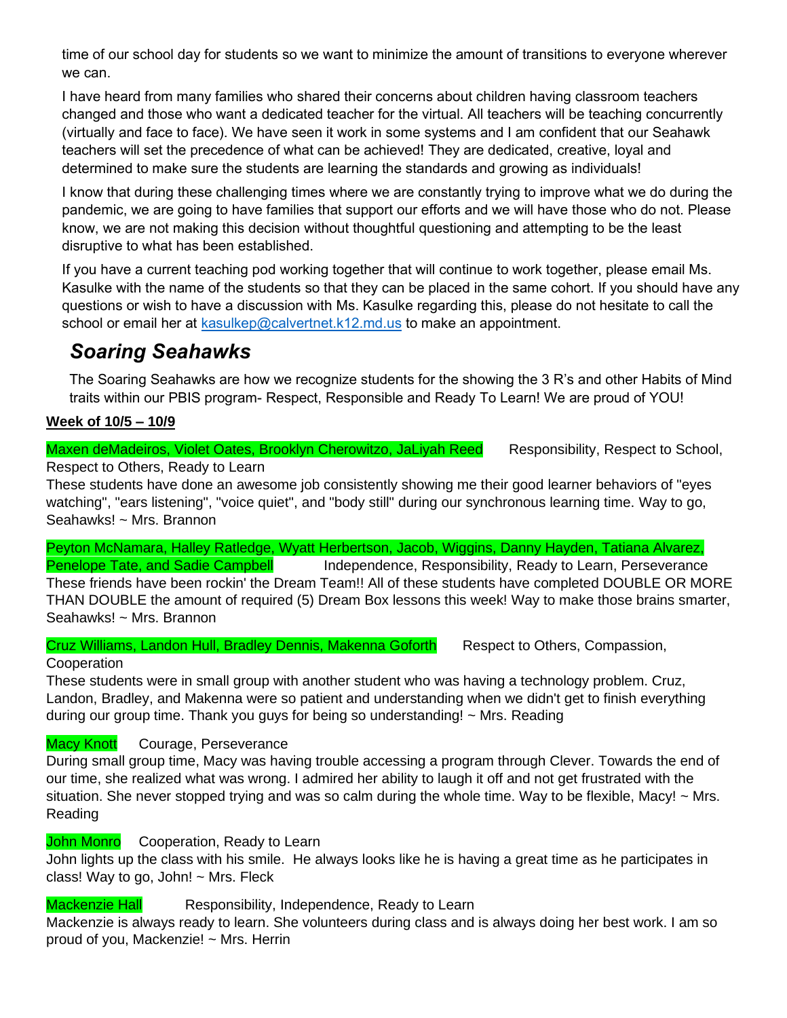time of our school day for students so we want to minimize the amount of transitions to everyone wherever we can.

I have heard from many families who shared their concerns about children having classroom teachers changed and those who want a dedicated teacher for the virtual. All teachers will be teaching concurrently (virtually and face to face). We have seen it work in some systems and I am confident that our Seahawk teachers will set the precedence of what can be achieved! They are dedicated, creative, loyal and determined to make sure the students are learning the standards and growing as individuals!

I know that during these challenging times where we are constantly trying to improve what we do during the pandemic, we are going to have families that support our efforts and we will have those who do not. Please know, we are not making this decision without thoughtful questioning and attempting to be the least disruptive to what has been established.

If you have a current teaching pod working together that will continue to work together, please email Ms. Kasulke with the name of the students so that they can be placed in the same cohort. If you should have any questions or wish to have a discussion with Ms. Kasulke regarding this, please do not hesitate to call the school or email her at [kasulkep@calvertnet.k12.md.us](mailto:kasulkep@calvertnet.k12.md.us) to make an appointment.

## *Soaring Seahawks*

The Soaring Seahawks are how we recognize students for the showing the 3 R's and other Habits of Mind traits within our PBIS program- Respect, Responsible and Ready To Learn! We are proud of YOU!

#### **Week of 10/5 – 10/9**

Maxen deMadeiros, Violet Oates, Brooklyn Cherowitzo, JaLiyah Reed Responsibility, Respect to School, Respect to Others, Ready to Learn

These students have done an awesome job consistently showing me their good learner behaviors of "eyes watching", "ears listening", "voice quiet", and "body still" during our synchronous learning time. Way to go, Seahawks! ~ Mrs. Brannon

Peyton McNamara, Halley Ratledge, Wyatt Herbertson, Jacob, Wiggins, Danny Hayden, Tatiana Alvarez, Penelope Tate, and Sadie Campbell Independence, Responsibility, Ready to Learn, Perseverance These friends have been rockin' the Dream Team!! All of these students have completed DOUBLE OR MORE THAN DOUBLE the amount of required (5) Dream Box lessons this week! Way to make those brains smarter, Seahawks! ~ Mrs. Brannon

### Cruz Williams, Landon Hull, Bradley Dennis, Makenna Goforth Respect to Others, Compassion,

#### Cooperation

These students were in small group with another student who was having a technology problem. Cruz, Landon, Bradley, and Makenna were so patient and understanding when we didn't get to finish everything during our group time. Thank you guys for being so understanding! ~ Mrs. Reading

#### Macy Knott Courage, Perseverance

During small group time, Macy was having trouble accessing a program through Clever. Towards the end of our time, she realized what was wrong. I admired her ability to laugh it off and not get frustrated with the situation. She never stopped trying and was so calm during the whole time. Way to be flexible, Macy!  $\sim$  Mrs. Reading

#### John Monro Cooperation, Ready to Learn

John lights up the class with his smile. He always looks like he is having a great time as he participates in class! Way to go, John!  $\sim$  Mrs. Fleck

#### Mackenzie Hall Responsibility, Independence, Ready to Learn

Mackenzie is always ready to learn. She volunteers during class and is always doing her best work. I am so proud of you, Mackenzie! ~ Mrs. Herrin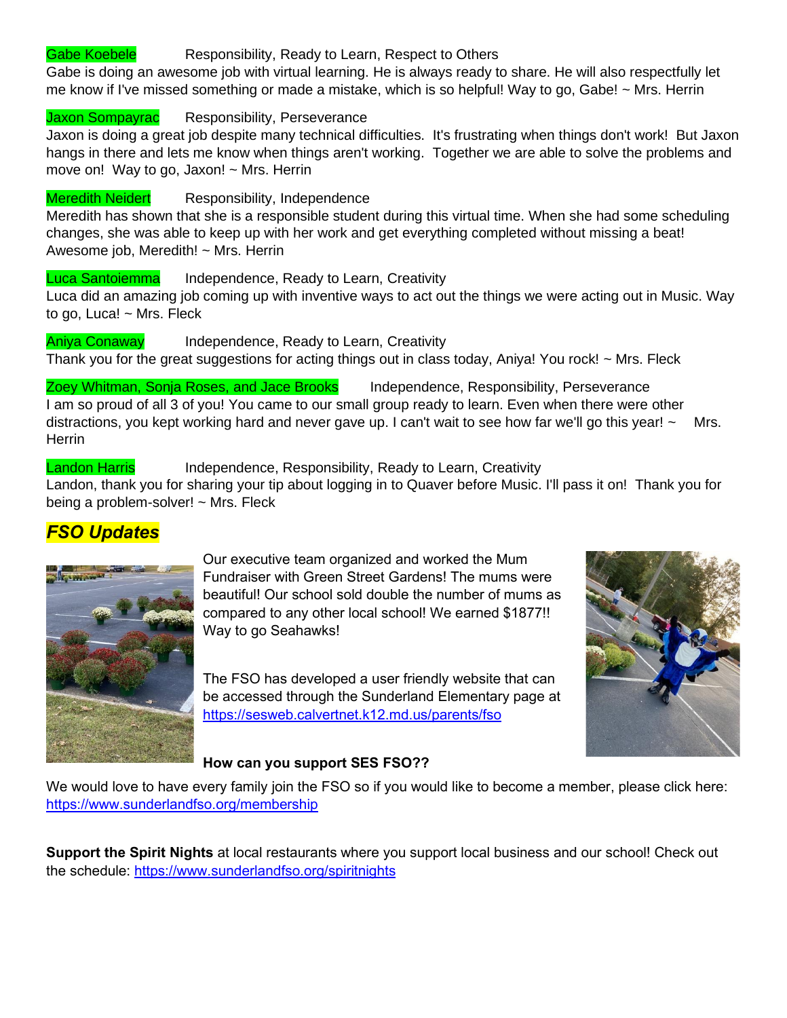#### Gabe Koebele Responsibility, Ready to Learn, Respect to Others

Gabe is doing an awesome job with virtual learning. He is always ready to share. He will also respectfully let me know if I've missed something or made a mistake, which is so helpful! Way to go, Gabe! ~ Mrs. Herrin

#### Jaxon Sompayrac Responsibility, Perseverance

Jaxon is doing a great job despite many technical difficulties. It's frustrating when things don't work! But Jaxon hangs in there and lets me know when things aren't working. Together we are able to solve the problems and move on! Way to go, Jaxon! ~ Mrs. Herrin

#### Meredith Neidert Responsibility, Independence

Meredith has shown that she is a responsible student during this virtual time. When she had some scheduling changes, she was able to keep up with her work and get everything completed without missing a beat! Awesome job, Meredith! ~ Mrs. Herrin

#### **Luca Santoiemma** Independence, Ready to Learn, Creativity

Luca did an amazing job coming up with inventive ways to act out the things we were acting out in Music. Way to go, Luca! ~ Mrs. Fleck

Aniya Conaway Independence, Ready to Learn, Creativity

Thank you for the great suggestions for acting things out in class today, Aniya! You rock! ~ Mrs. Fleck

Zoey Whitman, Sonja Roses, and Jace Brooks Independence, Responsibility, Perseverance I am so proud of all 3 of you! You came to our small group ready to learn. Even when there were other distractions, you kept working hard and never gave up. I can't wait to see how far we'll go this year!  $\sim$  Mrs. **Herrin** 

Landon Harris **Independence, Responsibility, Ready to Learn, Creativity** 

Landon, thank you for sharing your tip about logging in to Quaver before Music. I'll pass it on! Thank you for being a problem-solver! ~ Mrs. Fleck

## *FSO Updates*



Our executive team organized and worked the Mum Fundraiser with Green Street Gardens! The mums were beautiful! Our school sold double the number of mums as compared to any other local school! We earned \$1877!! Way to go Seahawks!

The FSO has developed a user friendly website that can be accessed through the Sunderland Elementary page at <https://sesweb.calvertnet.k12.md.us/parents/fso>



#### **How can you support SES FSO??**

We would love to have every family join the FSO so if you would like to become a member, please click here: <https://www.sunderlandfso.org/membership>

**Support the Spirit Nights** at local restaurants where you support local business and our school! Check out the schedule:<https://www.sunderlandfso.org/spiritnights>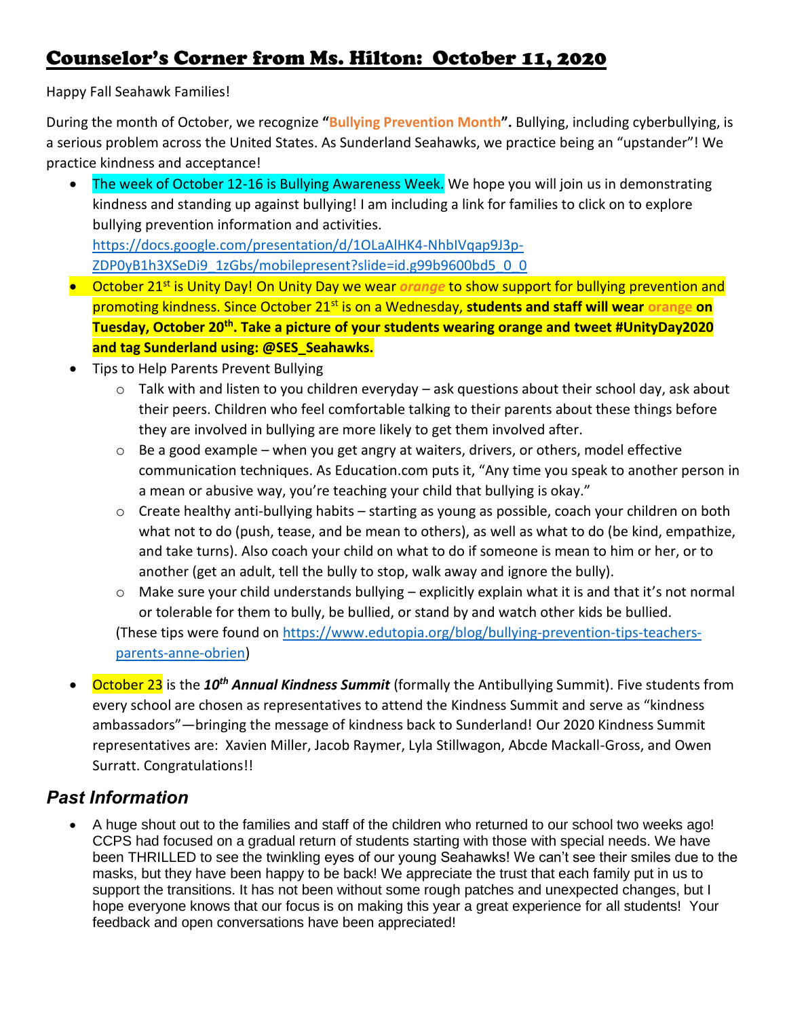# Counselor's Corner from Ms. Hilton: October 11, 2020

Happy Fall Seahawk Families!

During the month of October, we recognize **"Bullying Prevention Month".** Bullying, including cyberbullying, is a serious problem across the United States. As Sunderland Seahawks, we practice being an "upstander"! We practice kindness and acceptance!

The week of October 12-16 is Bullying Awareness Week. We hope you will join us in demonstrating kindness and standing up against bullying! I am including a link for families to click on to explore bullying prevention information and activities. [https://docs.google.com/presentation/d/1OLaAlHK4-NhbIVqap9J3p-](https://docs.google.com/presentation/d/1OLaAlHK4-NhbIVqap9J3p-ZDP0yB1h3XSeDi9_1zGbs/mobilepresent?slide=id.g99b9600bd5_0_0)

[ZDP0yB1h3XSeDi9\\_1zGbs/mobilepresent?slide=id.g99b9600bd5\\_0\\_0](https://docs.google.com/presentation/d/1OLaAlHK4-NhbIVqap9J3p-ZDP0yB1h3XSeDi9_1zGbs/mobilepresent?slide=id.g99b9600bd5_0_0)

- October 21st is Unity Day! On Unity Day we wear *orange* to show support for bullying prevention and promoting kindness. Since October 21st is on a Wednesday, **students and staff will wear orange on Tuesday, October 20th. Take a picture of your students wearing orange and tweet #UnityDay2020 and tag Sunderland using: @SES\_Seahawks.**
- Tips to Help Parents Prevent Bullying
	- $\circ$  Talk with and listen to you children everyday ask questions about their school day, ask about their peers. Children who feel comfortable talking to their parents about these things before they are involved in bullying are more likely to get them involved after.
	- $\circ$  Be a good example when you get angry at waiters, drivers, or others, model effective communication techniques. As Education.com puts it, "Any time you speak to another person in a mean or abusive way, you're teaching your child that bullying is okay."
	- $\circ$  Create healthy anti-bullying habits starting as young as possible, coach your children on both what not to do (push, tease, and be mean to others), as well as what to do (be kind, empathize, and take turns). Also coach your child on what to do if someone is mean to him or her, or to another (get an adult, tell the bully to stop, walk away and ignore the bully).
	- $\circ$  Make sure your child understands bullying explicitly explain what it is and that it's not normal or tolerable for them to bully, be bullied, or stand by and watch other kids be bullied. (These tips were found on [https://www.edutopia.org/blog/bullying-prevention-tips-teachers](https://www.edutopia.org/blog/bullying-prevention-tips-teachers-parents-anne-obrien)[parents-anne-obrien\)](https://www.edutopia.org/blog/bullying-prevention-tips-teachers-parents-anne-obrien)
- October 23 is the *10th Annual Kindness Summit* (formally the Antibullying Summit). Five students from every school are chosen as representatives to attend the Kindness Summit and serve as "kindness ambassadors"—bringing the message of kindness back to Sunderland! Our 2020 Kindness Summit representatives are: Xavien Miller, Jacob Raymer, Lyla Stillwagon, Abcde Mackall-Gross, and Owen Surratt. Congratulations!!

### *Past Information*

• A huge shout out to the families and staff of the children who returned to our school two weeks ago! CCPS had focused on a gradual return of students starting with those with special needs. We have been THRILLED to see the twinkling eyes of our young Seahawks! We can't see their smiles due to the masks, but they have been happy to be back! We appreciate the trust that each family put in us to support the transitions. It has not been without some rough patches and unexpected changes, but I hope everyone knows that our focus is on making this year a great experience for all students! Your feedback and open conversations have been appreciated!